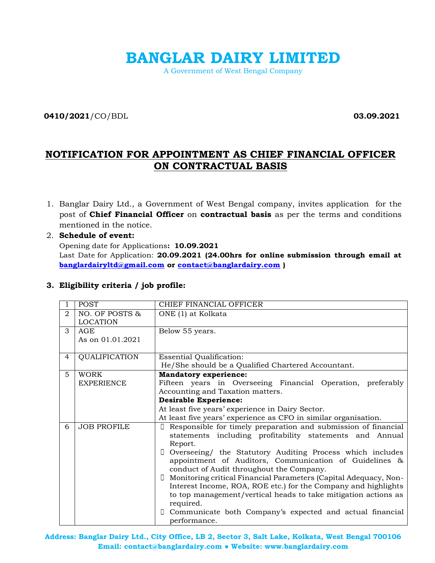# **BANGLAR DAIRY LIMITED**

A Government of West Bengal Company

**0410/2021**/CO/BDL **03.09.2021**

# **NOTIFICATION FOR APPOINTMENT AS CHIEF FINANCIAL OFFICER ON CONTRACTUAL BASIS**

1. Banglar Dairy Ltd., a Government of West Bengal company, invites application for the post of **Chief Financial Officer** on **contractual basis** as per the terms and conditions mentioned in the notice.

# 2. **Schedule of event:**

Opening date for Applications**: 10.09.2021** Last Date for Application: **20.09.2021 (24.00hrs for online submission through email at [banglardairyltd@gmail.com](mailto:banglardairyltd@gmail.com) or [contact@banglardairy.com](mailto:contact@banglardairy.com) )**

|                | <b>POST</b>                       | CHIEF FINANCIAL OFFICER                                                                                                                                                                                                                                                                                                                                                                                                                                                                                                                                                                                                                 |  |  |  |  |  |
|----------------|-----------------------------------|-----------------------------------------------------------------------------------------------------------------------------------------------------------------------------------------------------------------------------------------------------------------------------------------------------------------------------------------------------------------------------------------------------------------------------------------------------------------------------------------------------------------------------------------------------------------------------------------------------------------------------------------|--|--|--|--|--|
| 2              | NO. OF POSTS &<br><b>LOCATION</b> | ONE (1) at Kolkata                                                                                                                                                                                                                                                                                                                                                                                                                                                                                                                                                                                                                      |  |  |  |  |  |
| 3              | AGE<br>As on 01.01.2021           | Below 55 years.                                                                                                                                                                                                                                                                                                                                                                                                                                                                                                                                                                                                                         |  |  |  |  |  |
| $\overline{4}$ | <b>QUALIFICATION</b>              | <b>Essential Qualification:</b><br>He/She should be a Qualified Chartered Accountant.                                                                                                                                                                                                                                                                                                                                                                                                                                                                                                                                                   |  |  |  |  |  |
| 5              | <b>WORK</b><br><b>EXPERIENCE</b>  | <b>Mandatory experience:</b><br>Fifteen years in Overseeing Financial Operation, preferably<br>Accounting and Taxation matters.<br><b>Desirable Experience:</b><br>At least five years' experience in Dairy Sector.<br>At least five years' experience as CFO in similar organisation.                                                                                                                                                                                                                                                                                                                                                  |  |  |  |  |  |
| 6              | <b>JOB PROFILE</b>                | Responsible for timely preparation and submission of financial<br>$\Box$<br>statements including profitability statements and Annual<br>Report.<br>Overseeing/ the Statutory Auditing Process which includes<br>$\Box$<br>appointment of Auditors, Communication of Guidelines &<br>conduct of Audit throughout the Company.<br>Monitoring critical Financial Parameters (Capital Adequacy, Non-<br>$\Box$<br>Interest Income, ROA, ROE etc.) for the Company and highlights<br>to top management/vertical heads to take mitigation actions as<br>required.<br>Communicate both Company's expected and actual financial<br>performance. |  |  |  |  |  |

# **3. Eligibility criteria / job profile:**

**Address: Banglar Dairy Ltd., City Office, LB 2, Sector 3, Salt Lake, Kolkata, West Bengal 700106 Email: contact@banglardairy.com ● Website: www.banglardairy.com**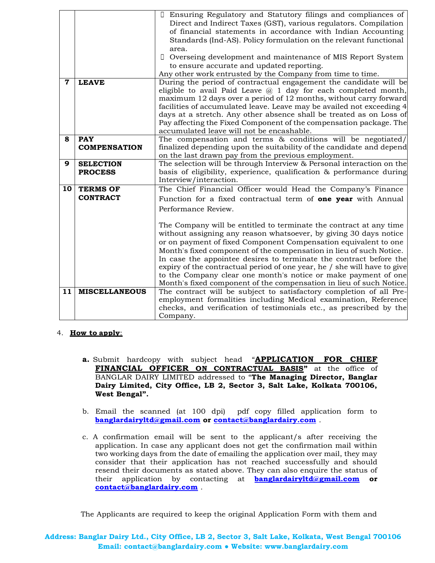|             |                      | Ensuring Regulatory and Statutory filings and compliances of             |
|-------------|----------------------|--------------------------------------------------------------------------|
|             |                      | Direct and Indirect Taxes (GST), various regulators. Compilation         |
|             |                      | of financial statements in accordance with Indian Accounting             |
|             |                      | Standards (Ind-AS). Policy formulation on the relevant functional        |
|             |                      | area.                                                                    |
|             |                      | $\Box$<br>Overseing development and maintenance of MIS Report System     |
|             |                      | to ensure accurate and updated reporting.                                |
|             |                      | Any other work entrusted by the Company from time to time.               |
| $\mathbf 7$ | <b>LEAVE</b>         | During the period of contractual engagement the candidate will be        |
|             |                      | eligible to avail Paid Leave $(a)$ 1 day for each completed month,       |
|             |                      | maximum 12 days over a period of 12 months, without carry forward        |
|             |                      | facilities of accumulated leave. Leave may be availed not exceeding 4    |
|             |                      | days at a stretch. Any other absence shall be treated as on Loss of      |
|             |                      | Pay affecting the Fixed Component of the compensation package. The       |
|             |                      | accumulated leave will not be encashable.                                |
| 8           | <b>PAY</b>           | The compensation and terms & conditions will be negotiated/              |
|             | <b>COMPENSATION</b>  | finalized depending upon the suitability of the candidate and depend     |
|             |                      | on the last drawn pay from the previous employment.                      |
| 9           | <b>SELECTION</b>     | The selection will be through Interview & Personal interaction on the    |
|             | <b>PROCESS</b>       | basis of eligibility, experience, qualification & performance during     |
|             |                      | Interview/interaction.                                                   |
| 10          | <b>TERMS OF</b>      | The Chief Financial Officer would Head the Company's Finance             |
|             | <b>CONTRACT</b>      | Function for a fixed contractual term of <b>one year</b> with Annual     |
|             |                      | Performance Review.                                                      |
|             |                      |                                                                          |
|             |                      | The Company will be entitled to terminate the contract at any time       |
|             |                      | without assigning any reason whatsoever, by giving 30 days notice        |
|             |                      | or on payment of fixed Component Compensation equivalent to one          |
|             |                      | Month's fixed component of the compensation in lieu of such Notice.      |
|             |                      | In case the appointee desires to terminate the contract before the       |
|             |                      | expiry of the contractual period of one year, he / she will have to give |
|             |                      | to the Company clear one month's notice or make payment of one           |
|             |                      | Month's fixed component of the compensation in lieu of such Notice.      |
| 11          | <b>MISCELLANEOUS</b> | The contract will be subject to satisfactory completion of all Pre-      |
|             |                      | employment formalities including Medical examination, Reference          |
|             |                      | checks, and verification of testimonials etc., as prescribed by the      |
|             |                      | Company.                                                                 |

## 4. **How to apply**:

- **a.** Submit hardcopy with subject head "**APPLICATION FOR CHIEF FINANCIAL OFFICER ON CONTRACTUAL BASIS"** at the office of BANGLAR DAIRY LIMITED addressed to "**The Managing Director, Banglar Dairy Limited, City Office, LB 2, Sector 3, Salt Lake, Kolkata 700106, West Bengal".**
- b. Email the scanned (at 100 dpi) pdf copy filled application form to **[banglardairyltd@gmail.com](mailto:banglardairyltd@gmail.com) or [contact@banglardairy.com](mailto:contact@banglardairy.com)** .
- c. A confirmation email will be sent to the applicant/s after receiving the application. In case any applicant does not get the confirmation mail within two working days from the date of emailing the application over mail, they may consider that their application has not reached successfully and should resend their documents as stated above. They can also enquire the status of their application by contacting at **[banglardairyltd@gmail.com](mailto:banglardairyltd@gmail.com) or [contact@banglardairy.com](mailto:contact@banglardairy.com)** .

The Applicants are required to keep the original Application Form with them and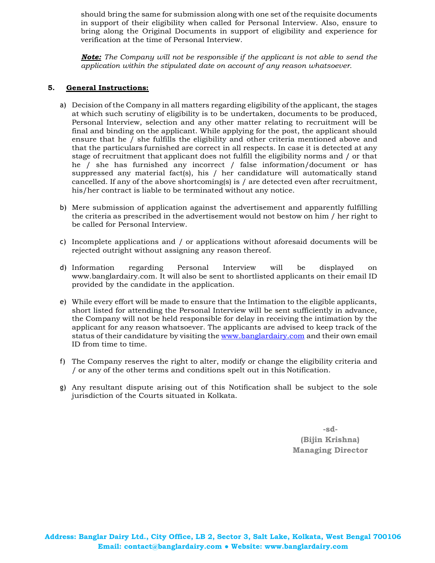should bring the same for submission along with one set of the requisite documents in support of their eligibility when called for Personal Interview. Also, ensure to bring along the Original Documents in support of eligibility and experience for verification at the time of Personal Interview.

*Note: The Company will not be responsible if the applicant is not able to send the application within the stipulated date on account of any reason whatsoever.*

#### **5. General Instructions:**

- a) Decision of the Company in all matters regarding eligibility of the applicant, the stages at which such scrutiny of eligibility is to be undertaken, documents to be produced, Personal Interview, selection and any other matter relating to recruitment will be final and binding on the applicant. While applying for the post, the applicant should ensure that he / she fulfills the eligibility and other criteria mentioned above and that the particulars furnished are correct in all respects. In case it is detected at any stage of recruitment that applicant does not fulfill the eligibility norms and / or that he / she has furnished any incorrect / false information/document or has suppressed any material fact(s), his  $/$  her candidature will automatically stand cancelled. If any of the above shortcoming(s) is / are detected even after recruitment, his/her contract is liable to be terminated without any notice.
- b) Mere submission of application against the advertisement and apparently fulfilling the criteria as prescribed in the advertisement would not bestow on him / her right to be called for Personal Interview.
- c) Incomplete applications and / or applications without aforesaid documents will be rejected outright without assigning any reason thereof.
- d) Information regarding Personal Interview will be displayed on www.banglardairy.com. It will also be sent to shortlisted applicants on their email ID provided by the candidate in the application.
- e) While every effort will be made to ensure that the Intimation to the eligible applicants, short listed for attending the Personal Interview will be sent sufficiently in advance, the Company will not be held responsible for delay in receiving the intimation by the applicant for any reason whatsoever. The applicants are advised to keep track of the status of their candidature by visiting the [www.banglardairy.com](http://www.banglardairy.com/) and their own email ID from time to time.
- f) The Company reserves the right to alter, modify or change the eligibility criteria and / or any of the other terms and conditions spelt out in this Notification.
- g) Any resultant dispute arising out of this Notification shall be subject to the sole jurisdiction of the Courts situated in Kolkata.

**-sd- (Bijin Krishna) Managing Director**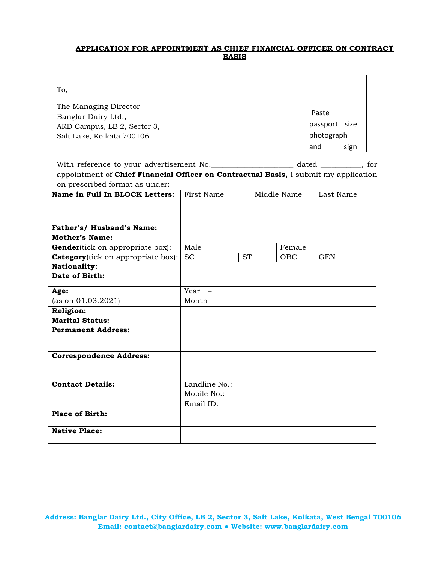## **APPLICATION FOR APPOINTMENT AS CHIEF FINANCIAL OFFICER ON CONTRACT BASIS**

To,

The Managing Director Banglar Dairy Ltd., ARD Campus, LB 2, Sector 3, Salt Lake, Kolkata 700106

Paste passport size photograph and sign

With reference to your advertisement No. appointment of **Chief Financial Officer on Contractual Basis**, I submit my application on prescribed format as under:  $_$  dated  $_$ , for

| Name in Full In BLOCK Letters:             | First Name             |  | Middle Name |            | Last Name  |
|--------------------------------------------|------------------------|--|-------------|------------|------------|
|                                            |                        |  |             |            |            |
|                                            |                        |  |             |            |            |
| Father's/ Husband's Name:                  |                        |  |             |            |            |
| Mother's Name:                             |                        |  |             |            |            |
| <b>Gender</b> (tick on appropriate box):   | Male                   |  | Female      |            |            |
| <b>Category</b> (tick on appropriate box): | <b>SC</b><br><b>ST</b> |  |             | <b>OBC</b> | <b>GEN</b> |
| <b>Nationality:</b>                        |                        |  |             |            |            |
| Date of Birth:                             |                        |  |             |            |            |
| Age:                                       | Year -                 |  |             |            |            |
| (as on $01.03.2021$ )                      | Month $-$              |  |             |            |            |
| <b>Religion:</b>                           |                        |  |             |            |            |
| <b>Marital Status:</b>                     |                        |  |             |            |            |
| <b>Permanent Address:</b>                  |                        |  |             |            |            |
|                                            |                        |  |             |            |            |
| <b>Correspondence Address:</b>             |                        |  |             |            |            |
|                                            |                        |  |             |            |            |
|                                            |                        |  |             |            |            |
| <b>Contact Details:</b>                    | Landline No.:          |  |             |            |            |
|                                            | Mobile No.:            |  |             |            |            |
|                                            | Email ID:              |  |             |            |            |
| <b>Place of Birth:</b>                     |                        |  |             |            |            |
| <b>Native Place:</b>                       |                        |  |             |            |            |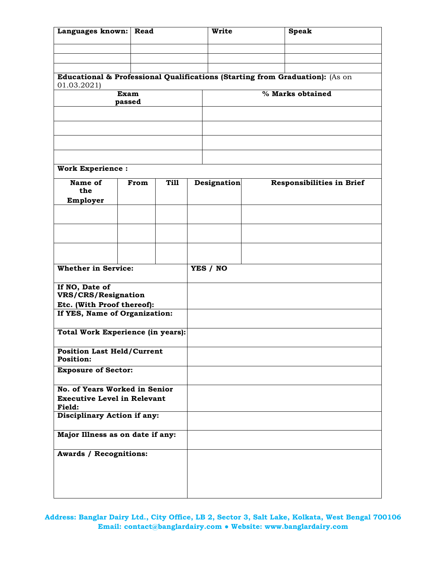| Languages known:<br>Read                                    |        |             | <b>Write</b>       | <b>Speak</b>                                                                 |  |  |
|-------------------------------------------------------------|--------|-------------|--------------------|------------------------------------------------------------------------------|--|--|
|                                                             |        |             |                    |                                                                              |  |  |
|                                                             |        |             |                    |                                                                              |  |  |
|                                                             |        |             |                    |                                                                              |  |  |
| 01.03.2021)                                                 |        |             |                    | Educational & Professional Qualifications (Starting from Graduation): (As on |  |  |
|                                                             | Exam   |             | % Marks obtained   |                                                                              |  |  |
|                                                             | passed |             |                    |                                                                              |  |  |
|                                                             |        |             |                    |                                                                              |  |  |
|                                                             |        |             |                    |                                                                              |  |  |
|                                                             |        |             |                    |                                                                              |  |  |
|                                                             |        |             |                    |                                                                              |  |  |
| <b>Work Experience:</b>                                     |        |             |                    |                                                                              |  |  |
| Name of                                                     | From   | <b>Till</b> | <b>Designation</b> | Responsibilities in Brief                                                    |  |  |
| the                                                         |        |             |                    |                                                                              |  |  |
| Employer                                                    |        |             |                    |                                                                              |  |  |
|                                                             |        |             |                    |                                                                              |  |  |
|                                                             |        |             |                    |                                                                              |  |  |
|                                                             |        |             |                    |                                                                              |  |  |
|                                                             |        |             |                    |                                                                              |  |  |
| <b>Whether in Service:</b>                                  |        |             | YES / NO           |                                                                              |  |  |
|                                                             |        |             |                    |                                                                              |  |  |
| If NO, Date of                                              |        |             |                    |                                                                              |  |  |
| VRS/CRS/Resignation                                         |        |             |                    |                                                                              |  |  |
| Etc. (With Proof thereof):<br>If YES, Name of Organization: |        |             |                    |                                                                              |  |  |
|                                                             |        |             |                    |                                                                              |  |  |
| <b>Total Work Experience (in years):</b>                    |        |             |                    |                                                                              |  |  |
| <b>Position Last Held/Current</b>                           |        |             |                    |                                                                              |  |  |
| <b>Position:</b>                                            |        |             |                    |                                                                              |  |  |
| <b>Exposure of Sector:</b>                                  |        |             |                    |                                                                              |  |  |
| No. of Years Worked in Senior                               |        |             |                    |                                                                              |  |  |
| <b>Executive Level in Relevant</b>                          |        |             |                    |                                                                              |  |  |
| <b>Field:</b><br>Disciplinary Action if any:                |        |             |                    |                                                                              |  |  |
|                                                             |        |             |                    |                                                                              |  |  |
| Major Illness as on date if any:                            |        |             |                    |                                                                              |  |  |
|                                                             |        |             |                    |                                                                              |  |  |
| <b>Awards / Recognitions:</b>                               |        |             |                    |                                                                              |  |  |
|                                                             |        |             |                    |                                                                              |  |  |
|                                                             |        |             |                    |                                                                              |  |  |
|                                                             |        |             |                    |                                                                              |  |  |

**Address: Banglar Dairy Ltd., City Office, LB 2, Sector 3, Salt Lake, Kolkata, West Bengal 700106 Email: contact@banglardairy.com ● Website: www.banglardairy.com**